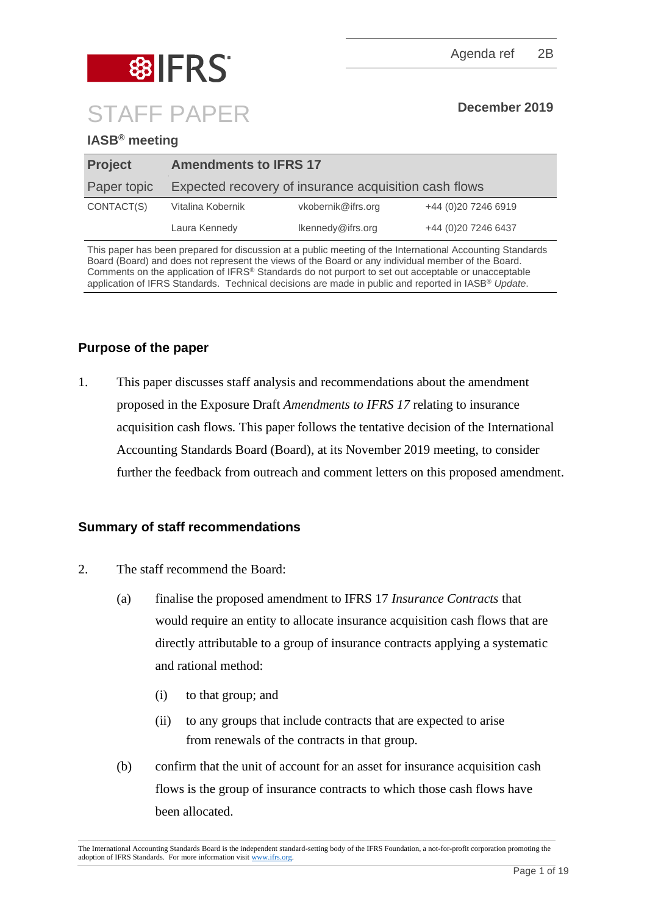

# **IASB® meeting**

| <b>Project</b> | <b>Amendments to IFRS 17</b> |                                                       |                     |
|----------------|------------------------------|-------------------------------------------------------|---------------------|
| Paper topic    |                              | Expected recovery of insurance acquisition cash flows |                     |
| CONTACT(S)     | Vitalina Kobernik            | vkobernik@ifrs.org                                    | +44 (0)20 7246 6919 |
|                | Laura Kennedy                | Ikennedy@ifrs.org                                     | +44 (0)20 7246 6437 |

This paper has been prepared for discussion at a public meeting of the International Accounting Standards Board (Board) and does not represent the views of the Board or any individual member of the Board. Comments on the application of IFRS® Standards do not purport to set out acceptable or unacceptable application of IFRS Standards. Technical decisions are made in public and reported in IASB® *Update*.

# **Purpose of the paper**

1. This paper discusses staff analysis and recommendations about the amendment proposed in the Exposure Draft *Amendments to IFRS 17* relating to insurance acquisition cash flows*.* This paper follows the tentative decision of the International Accounting Standards Board (Board), at its November 2019 meeting, to consider further the feedback from outreach and comment letters on this proposed amendment.

# **Summary of staff recommendations**

- 2. The staff recommend the Board:
	- (a) finalise the proposed amendment to IFRS 17 *Insurance Contracts* that would require an entity to allocate insurance acquisition cash flows that are directly attributable to a group of insurance contracts applying a systematic and rational method:
		- (i) to that group; and
		- (ii) to any groups that include contracts that are expected to arise from renewals of the contracts in that group.
	- (b) confirm that the unit of account for an asset for insurance acquisition cash flows is the group of insurance contracts to which those cash flows have been allocated.

The International Accounting Standards Board is the independent standard-setting body of the IFRS Foundation, a not-for-profit corporation promoting the adoption of IFRS Standards. For more information visit [www.ifrs.org.](http://www.ifrs.org/)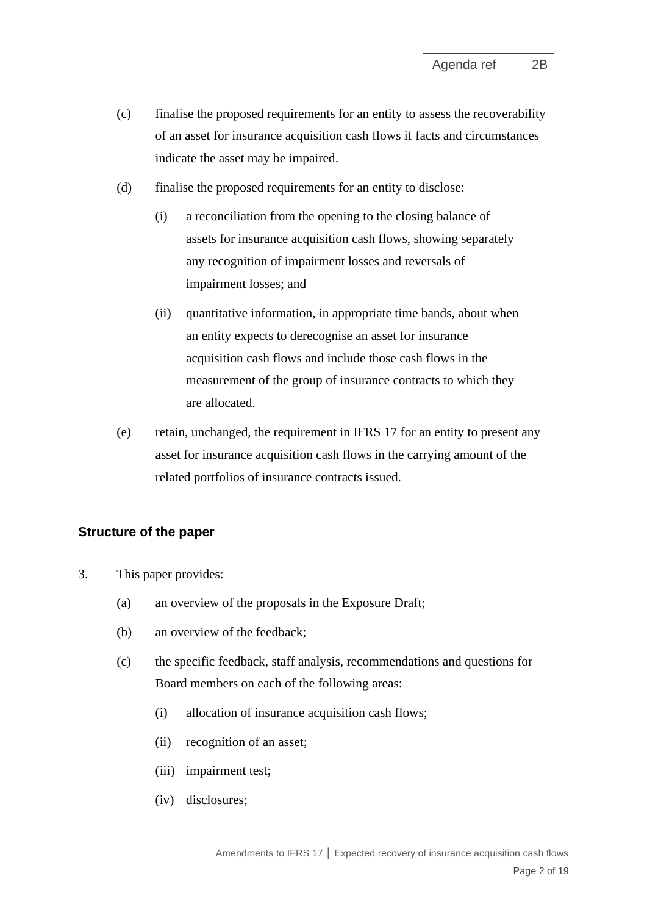- (c) finalise the proposed requirements for an entity to assess the recoverability of an asset for insurance acquisition cash flows if facts and circumstances indicate the asset may be impaired.
- (d) finalise the proposed requirements for an entity to disclose:
	- (i) a reconciliation from the opening to the closing balance of assets for insurance acquisition cash flows, showing separately any recognition of impairment losses and reversals of impairment losses; and
	- (ii) quantitative information, in appropriate time bands, about when an entity expects to derecognise an asset for insurance acquisition cash flows and include those cash flows in the measurement of the group of insurance contracts to which they are allocated.
- (e) retain, unchanged, the requirement in IFRS 17 for an entity to present any asset for insurance acquisition cash flows in the carrying amount of the related portfolios of insurance contracts issued.

# **Structure of the paper**

- 3. This paper provides:
	- (a) an overview of the proposals in the Exposure Draft;
	- (b) an overview of the feedback;
	- (c) the specific feedback, staff analysis, recommendations and questions for Board members on each of the following areas:
		- (i) allocation of insurance acquisition cash flows;
		- (ii) recognition of an asset;
		- (iii) impairment test;
		- (iv) disclosures;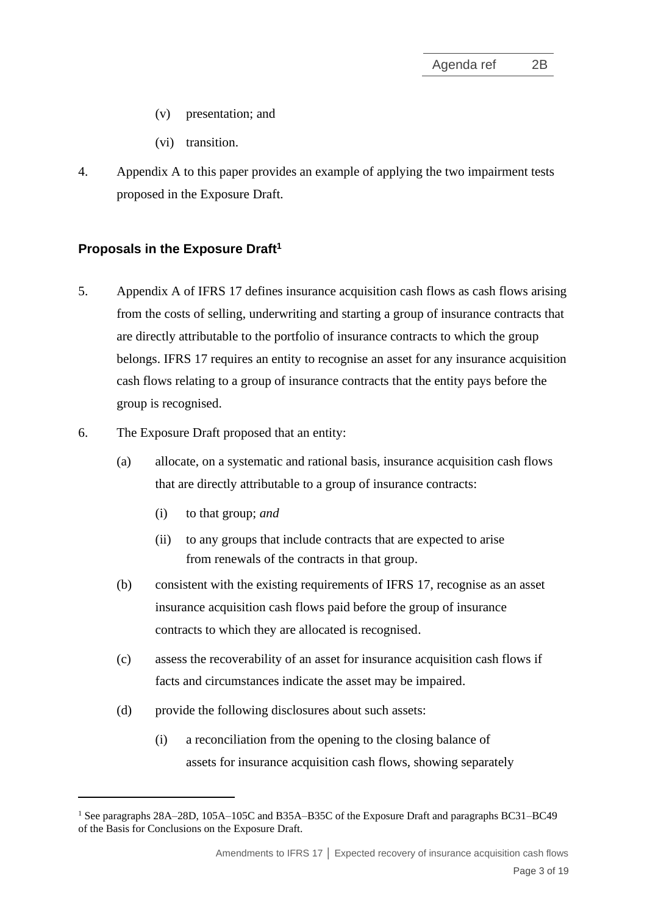- (v) presentation; and
- (vi) transition.
- 4. Appendix A to this paper provides an example of applying the two impairment tests proposed in the Exposure Draft.

# **Proposals in the Exposure Draft<sup>1</sup>**

- 5. Appendix A of IFRS 17 defines insurance acquisition cash flows as cash flows arising from the costs of selling, underwriting and starting a group of insurance contracts that are directly attributable to the portfolio of insurance contracts to which the group belongs. IFRS 17 requires an entity to recognise an asset for any insurance acquisition cash flows relating to a group of insurance contracts that the entity pays before the group is recognised.
- <span id="page-2-0"></span>6. The Exposure Draft proposed that an entity:
	- (a) allocate, on a systematic and rational basis, insurance acquisition cash flows that are directly attributable to a group of insurance contracts:
		- (i) to that group; *and*
		- (ii) to any groups that include contracts that are expected to arise from renewals of the contracts in that group.
	- (b) consistent with the existing requirements of IFRS 17, recognise as an asset insurance acquisition cash flows paid before the group of insurance contracts to which they are allocated is recognised.
	- (c) assess the recoverability of an asset for insurance acquisition cash flows if facts and circumstances indicate the asset may be impaired.
	- (d) provide the following disclosures about such assets:
		- (i) a reconciliation from the opening to the closing balance of assets for insurance acquisition cash flows, showing separately

<span id="page-2-1"></span><sup>1</sup> See paragraphs 28A–28D, 105A–105C and B35A–B35C of the Exposure Draft and paragraphs BC31–BC49 of the Basis for Conclusions on the Exposure Draft.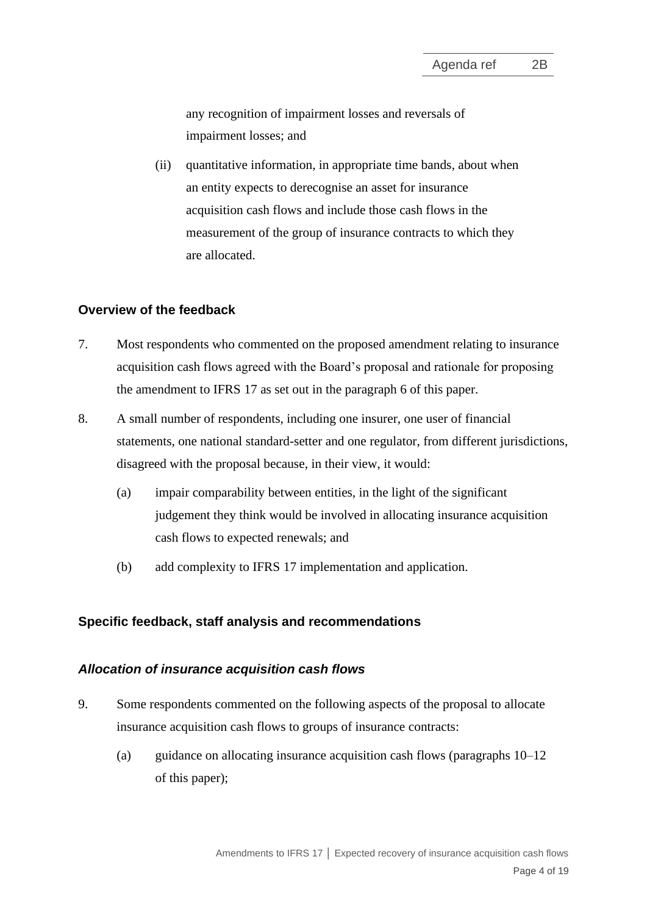any recognition of impairment losses and reversals of impairment losses; and

(ii) quantitative information, in appropriate time bands, about when an entity expects to derecognise an asset for insurance acquisition cash flows and include those cash flows in the measurement of the group of insurance contracts to which they are allocated.

#### **Overview of the feedback**

- 7. Most respondents who commented on the proposed amendment relating to insurance acquisition cash flows agreed with the Board's proposal and rationale for proposing the amendment to IFRS 17 as set out in the paragraph [6](#page-2-0) of this paper.
- 8. A small number of respondents, including one insurer, one user of financial statements, one national standard-setter and one regulator, from different jurisdictions, disagreed with the proposal because, in their view, it would:
	- (a) impair comparability between entities, in the light of the significant judgement they think would be involved in allocating insurance acquisition cash flows to expected renewals; and
	- (b) add complexity to IFRS 17 implementation and application.

#### **Specific feedback, staff analysis and recommendations**

#### *Allocation of insurance acquisition cash flows*

- 9. Some respondents commented on the following aspects of the proposal to allocate insurance acquisition cash flows to groups of insurance contracts:
	- (a) guidance on allocating insurance acquisition cash flows (paragraphs  $10-12$  $10-12$ of this paper);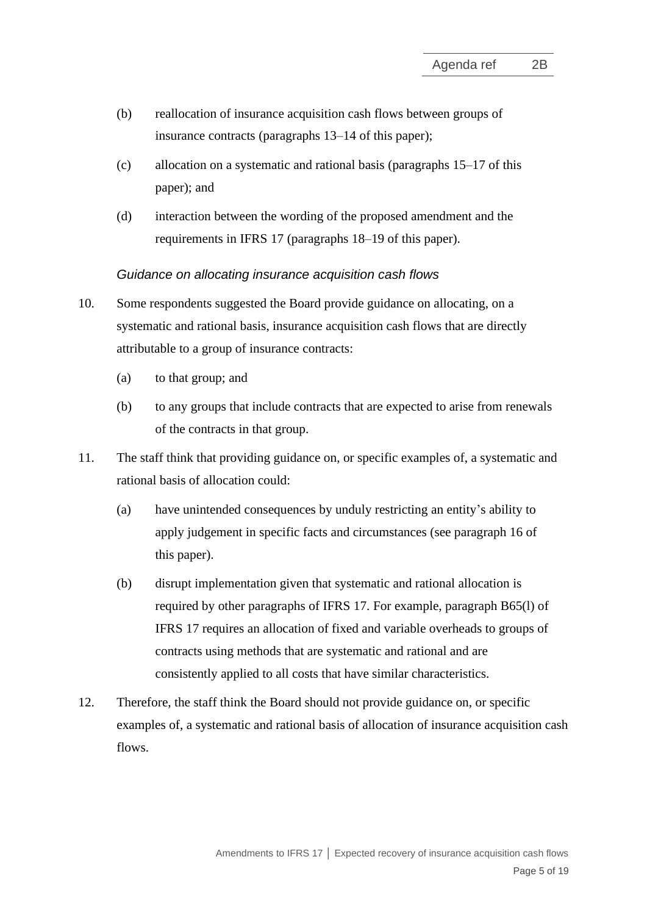- (b) reallocation of insurance acquisition cash flows between groups of insurance contracts (paragraphs [13–](#page-5-0)[14](#page-5-1) of this paper);
- (c) allocation on a systematic and rational basis (paragraphs [15–](#page-5-2)[17](#page-6-0) of this paper); and
- (d) interaction between the wording of the proposed amendment and the requirements in IFRS 17 (paragraphs [18–](#page-6-1)[19](#page-6-2) of this paper).

## *Guidance on allocating insurance acquisition cash flows*

- <span id="page-4-0"></span>10. Some respondents suggested the Board provide guidance on allocating, on a systematic and rational basis, insurance acquisition cash flows that are directly attributable to a group of insurance contracts:
	- (a) to that group; and
	- (b) to any groups that include contracts that are expected to arise from renewals of the contracts in that group.
- 11. The staff think that providing guidance on, or specific examples of, a systematic and rational basis of allocation could:
	- (a) have unintended consequences by unduly restricting an entity's ability to apply judgement in specific facts and circumstances (see paragraph [16](#page-5-3) of this paper).
	- (b) disrupt implementation given that systematic and rational allocation is required by other paragraphs of IFRS 17. For example, paragraph B65(l) of IFRS 17 requires an allocation of fixed and variable overheads to groups of contracts using methods that are systematic and rational and are consistently applied to all costs that have similar characteristics.
- <span id="page-4-1"></span>12. Therefore, the staff think the Board should not provide guidance on, or specific examples of, a systematic and rational basis of allocation of insurance acquisition cash flows.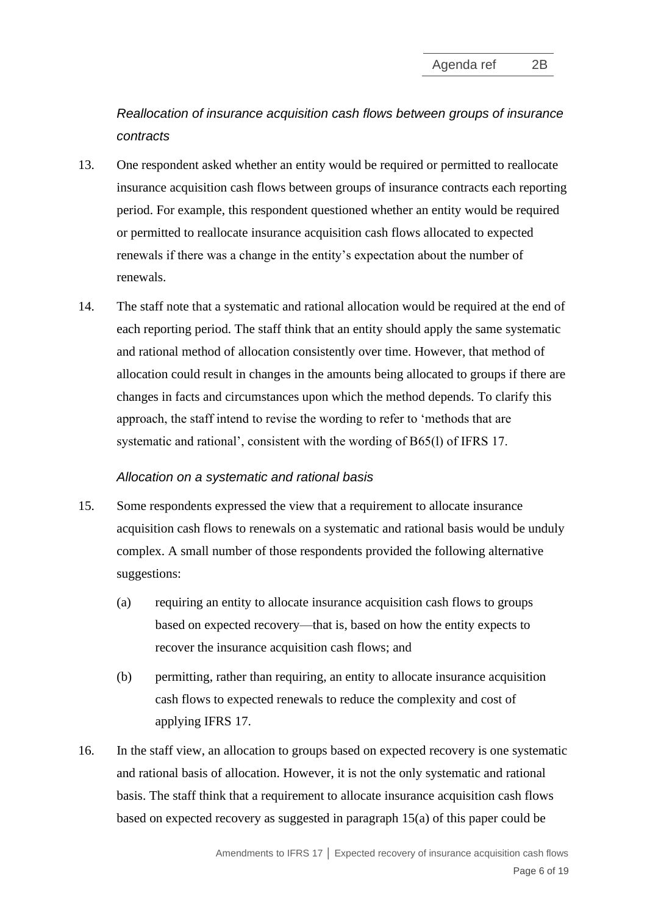*Reallocation of insurance acquisition cash flows between groups of insurance contracts*

- <span id="page-5-0"></span>13. One respondent asked whether an entity would be required or permitted to reallocate insurance acquisition cash flows between groups of insurance contracts each reporting period. For example, this respondent questioned whether an entity would be required or permitted to reallocate insurance acquisition cash flows allocated to expected renewals if there was a change in the entity's expectation about the number of renewals.
- <span id="page-5-1"></span>14. The staff note that a systematic and rational allocation would be required at the end of each reporting period. The staff think that an entity should apply the same systematic and rational method of allocation consistently over time. However, that method of allocation could result in changes in the amounts being allocated to groups if there are changes in facts and circumstances upon which the method depends. To clarify this approach, the staff intend to revise the wording to refer to 'methods that are systematic and rational', consistent with the wording of B65(l) of IFRS 17.

#### *Allocation on a systematic and rational basis*

- <span id="page-5-4"></span><span id="page-5-2"></span>15. Some respondents expressed the view that a requirement to allocate insurance acquisition cash flows to renewals on a systematic and rational basis would be unduly complex. A small number of those respondents provided the following alternative suggestions:
	- (a) requiring an entity to allocate insurance acquisition cash flows to groups based on expected recovery—that is, based on how the entity expects to recover the insurance acquisition cash flows; and
	- (b) permitting, rather than requiring, an entity to allocate insurance acquisition cash flows to expected renewals to reduce the complexity and cost of applying IFRS 17.
- <span id="page-5-6"></span><span id="page-5-5"></span><span id="page-5-3"></span>16. In the staff view, an allocation to groups based on expected recovery is one systematic and rational basis of allocation. However, it is not the only systematic and rational basis. The staff think that a requirement to allocate insurance acquisition cash flows based on expected recovery as suggested in paragraph [15\(a\)](#page-5-4) of this paper could be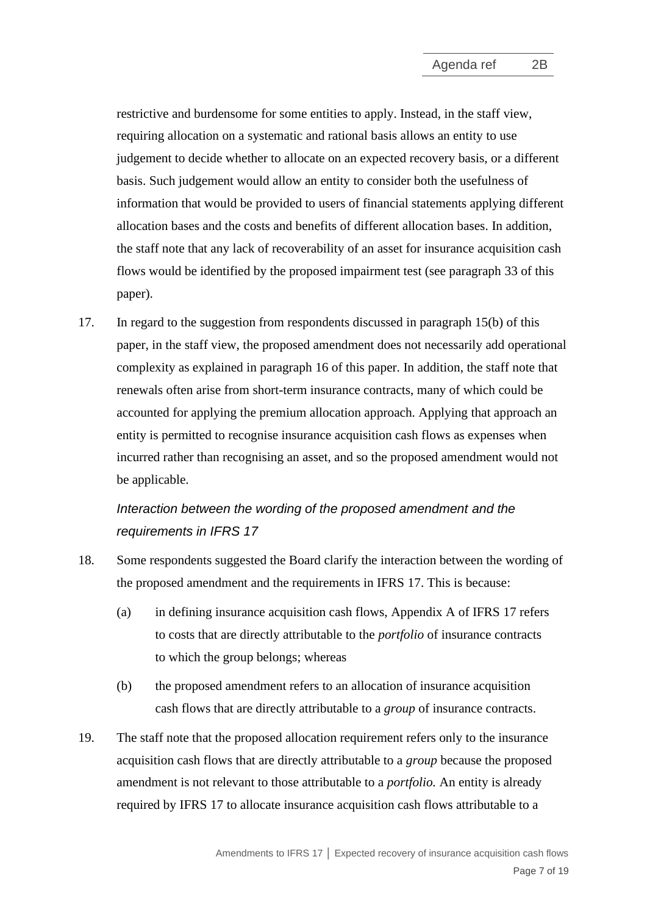restrictive and burdensome for some entities to apply. Instead, in the staff view, requiring allocation on a systematic and rational basis allows an entity to use judgement to decide whether to allocate on an expected recovery basis, or a different basis. Such judgement would allow an entity to consider both the usefulness of information that would be provided to users of financial statements applying different allocation bases and the costs and benefits of different allocation bases. In addition, the staff note that any lack of recoverability of an asset for insurance acquisition cash flows would be identified by the proposed impairment test (see paragraph [33](#page-10-0) of this paper).

17. In regard to the suggestion from respondents discussed in paragraph [15\(b\)](#page-5-5) of this paper, in the staff view, the proposed amendment does not necessarily add operational complexity as explained in paragraph [16](#page-5-6) of this paper. In addition, the staff note that renewals often arise from short-term insurance contracts, many of which could be accounted for applying the premium allocation approach. Applying that approach an entity is permitted to recognise insurance acquisition cash flows as expenses when incurred rather than recognising an asset, and so the proposed amendment would not be applicable.

# <span id="page-6-0"></span>*Interaction between the wording of the proposed amendment and the requirements in IFRS 17*

- <span id="page-6-1"></span>18. Some respondents suggested the Board clarify the interaction between the wording of the proposed amendment and the requirements in IFRS 17. This is because:
	- (a) in defining insurance acquisition cash flows, Appendix A of IFRS 17 refers to costs that are directly attributable to the *portfolio* of insurance contracts to which the group belongs; whereas
	- (b) the proposed amendment refers to an allocation of insurance acquisition cash flows that are directly attributable to a *group* of insurance contracts.
- <span id="page-6-2"></span>19. The staff note that the proposed allocation requirement refers only to the insurance acquisition cash flows that are directly attributable to a *group* because the proposed amendment is not relevant to those attributable to a *portfolio.* An entity is already required by IFRS 17 to allocate insurance acquisition cash flows attributable to a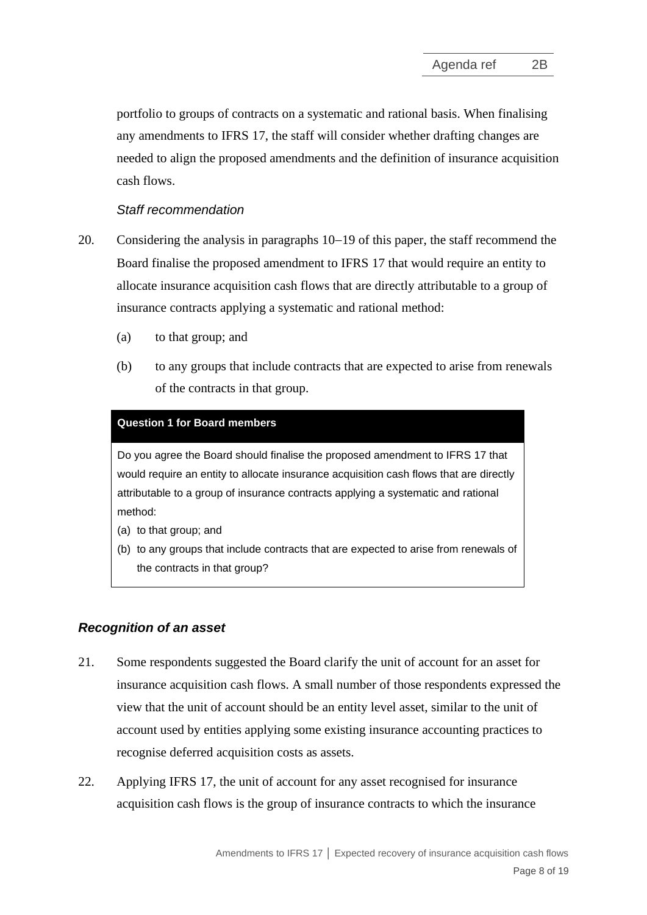portfolio to groups of contracts on a systematic and rational basis. When finalising any amendments to IFRS 17, the staff will consider whether drafting changes are needed to align the proposed amendments and the definition of insurance acquisition cash flows.

## *Staff recommendation*

- 20. Considering the analysis in paragraphs [10](#page-4-0)−[19](#page-6-2) of this paper, the staff recommend the Board finalise the proposed amendment to IFRS 17 that would require an entity to allocate insurance acquisition cash flows that are directly attributable to a group of insurance contracts applying a systematic and rational method:
	- (a) to that group; and
	- (b) to any groups that include contracts that are expected to arise from renewals of the contracts in that group.

#### **Question 1 for Board members**

Do you agree the Board should finalise the proposed amendment to IFRS 17 that would require an entity to allocate insurance acquisition cash flows that are directly attributable to a group of insurance contracts applying a systematic and rational method:

- (a) to that group; and
- (b) to any groups that include contracts that are expected to arise from renewals of the contracts in that group?

# *Recognition of an asset*

- 21. Some respondents suggested the Board clarify the unit of account for an asset for insurance acquisition cash flows. A small number of those respondents expressed the view that the unit of account should be an entity level asset, similar to the unit of account used by entities applying some existing insurance accounting practices to recognise deferred acquisition costs as assets.
- 22. Applying IFRS 17, the unit of account for any asset recognised for insurance acquisition cash flows is the group of insurance contracts to which the insurance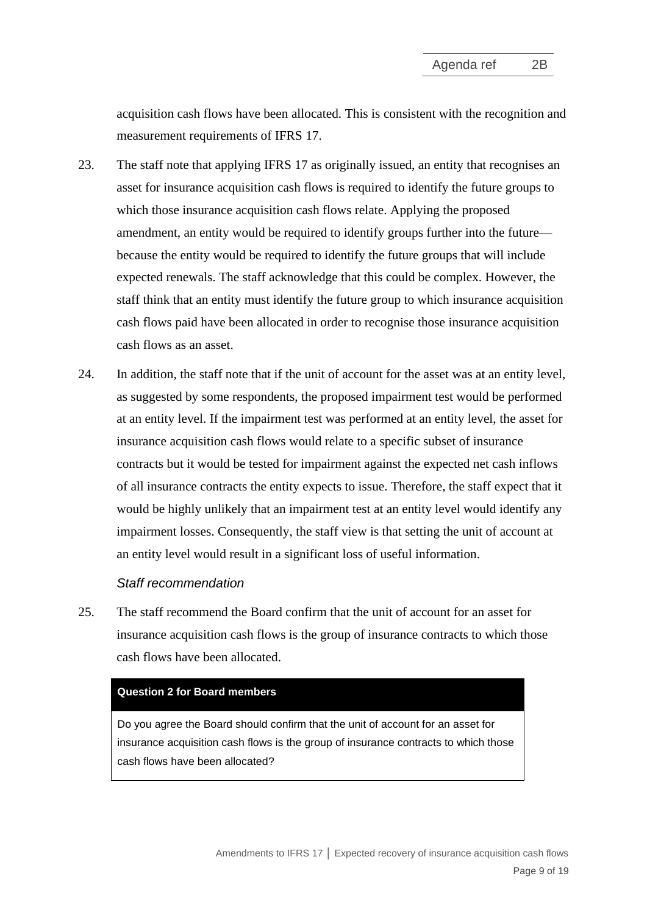acquisition cash flows have been allocated. This is consistent with the recognition and measurement requirements of IFRS 17.

- 23. The staff note that applying IFRS 17 as originally issued, an entity that recognises an asset for insurance acquisition cash flows is required to identify the future groups to which those insurance acquisition cash flows relate. Applying the proposed amendment, an entity would be required to identify groups further into the future because the entity would be required to identify the future groups that will include expected renewals. The staff acknowledge that this could be complex. However, the staff think that an entity must identify the future group to which insurance acquisition cash flows paid have been allocated in order to recognise those insurance acquisition cash flows as an asset.
- 24. In addition, the staff note that if the unit of account for the asset was at an entity level, as suggested by some respondents, the proposed impairment test would be performed at an entity level. If the impairment test was performed at an entity level, the asset for insurance acquisition cash flows would relate to a specific subset of insurance contracts but it would be tested for impairment against the expected net cash inflows of all insurance contracts the entity expects to issue. Therefore, the staff expect that it would be highly unlikely that an impairment test at an entity level would identify any impairment losses. Consequently, the staff view is that setting the unit of account at an entity level would result in a significant loss of useful information.

#### *Staff recommendation*

25. The staff recommend the Board confirm that the unit of account for an asset for insurance acquisition cash flows is the group of insurance contracts to which those cash flows have been allocated.

#### **Question 2 for Board members**

Do you agree the Board should confirm that the unit of account for an asset for insurance acquisition cash flows is the group of insurance contracts to which those cash flows have been allocated?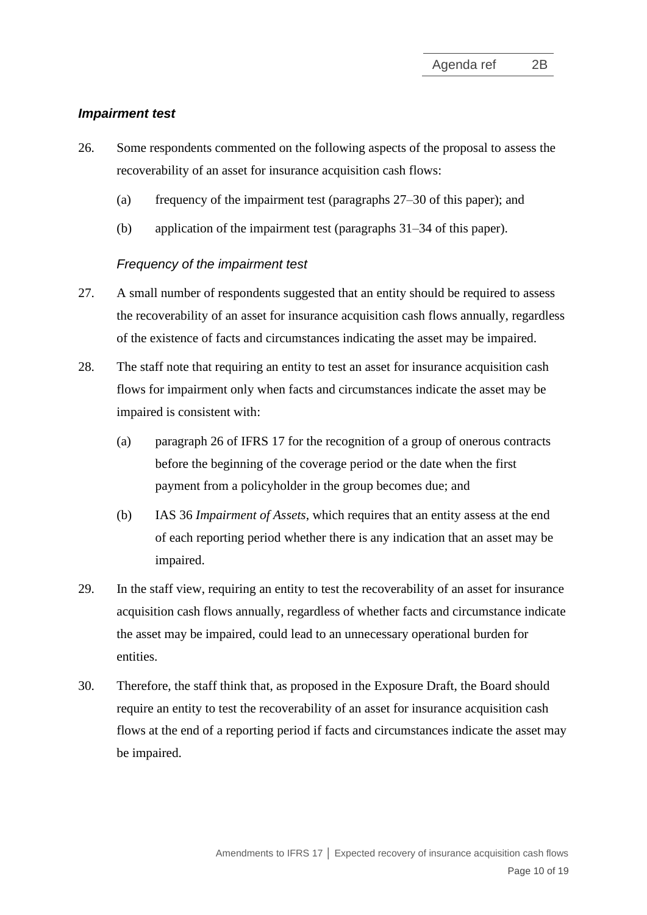#### *Impairment test*

- 26. Some respondents commented on the following aspects of the proposal to assess the recoverability of an asset for insurance acquisition cash flows:
	- (a) frequency of the impairment test (paragraphs [27](#page-9-0)[–30](#page-9-1) of this paper); and
	- (b) application of the impairment test (paragraphs [31](#page-10-1)[–34](#page-10-2) of this paper).

#### *Frequency of the impairment test*

- <span id="page-9-0"></span>27. A small number of respondents suggested that an entity should be required to assess the recoverability of an asset for insurance acquisition cash flows annually, regardless of the existence of facts and circumstances indicating the asset may be impaired.
- 28. The staff note that requiring an entity to test an asset for insurance acquisition cash flows for impairment only when facts and circumstances indicate the asset may be impaired is consistent with:
	- (a) paragraph 26 of IFRS 17 for the recognition of a group of onerous contracts before the beginning of the coverage period or the date when the first payment from a policyholder in the group becomes due; and
	- (b) IAS 36 *Impairment of Assets*, which requires that an entity assess at the end of each reporting period whether there is any indication that an asset may be impaired.
- 29. In the staff view, requiring an entity to test the recoverability of an asset for insurance acquisition cash flows annually, regardless of whether facts and circumstance indicate the asset may be impaired, could lead to an unnecessary operational burden for entities.
- <span id="page-9-1"></span>30. Therefore, the staff think that, as proposed in the Exposure Draft, the Board should require an entity to test the recoverability of an asset for insurance acquisition cash flows at the end of a reporting period if facts and circumstances indicate the asset may be impaired.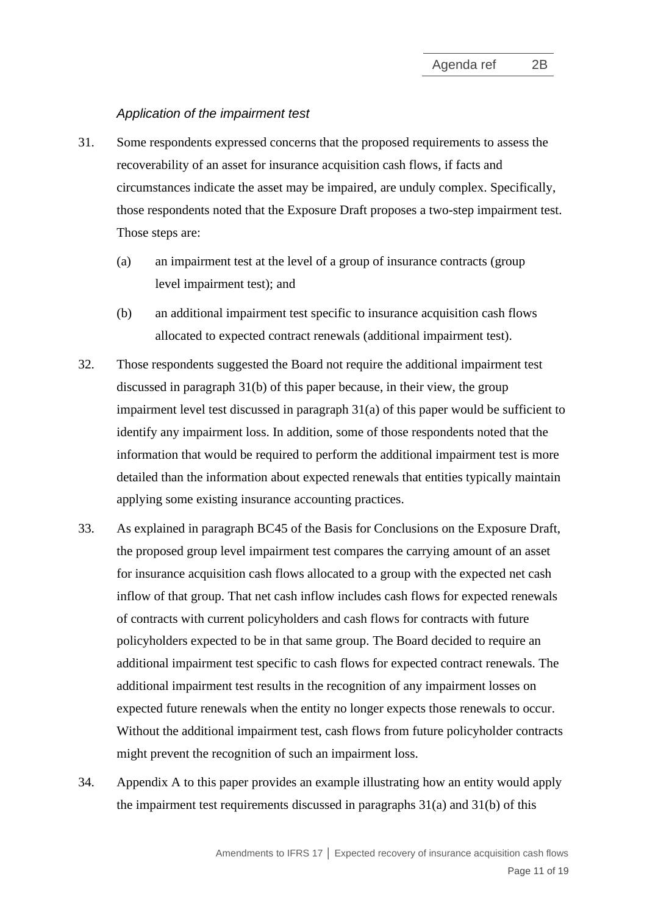#### *Application of the impairment test*

- <span id="page-10-1"></span>31. Some respondents expressed concerns that the proposed requirements to assess the recoverability of an asset for insurance acquisition cash flows, if facts and circumstances indicate the asset may be impaired, are unduly complex. Specifically, those respondents noted that the Exposure Draft proposes a two-step impairment test. Those steps are:
	- (a) an impairment test at the level of a group of insurance contracts (group level impairment test); and
	- (b) an additional impairment test specific to insurance acquisition cash flows allocated to expected contract renewals (additional impairment test).
- <span id="page-10-4"></span><span id="page-10-3"></span>32. Those respondents suggested the Board not require the additional impairment test discussed in paragraph [31\(b\)](#page-10-3) of this paper because, in their view, the group impairment level test discussed in paragraph [31\(a\)](#page-10-4) of this paper would be sufficient to identify any impairment loss. In addition, some of those respondents noted that the information that would be required to perform the additional impairment test is more detailed than the information about expected renewals that entities typically maintain applying some existing insurance accounting practices.
- <span id="page-10-0"></span>33. As explained in paragraph BC45 of the Basis for Conclusions on the Exposure Draft, the proposed group level impairment test compares the carrying amount of an asset for insurance acquisition cash flows allocated to a group with the expected net cash inflow of that group. That net cash inflow includes cash flows for expected renewals of contracts with current policyholders and cash flows for contracts with future policyholders expected to be in that same group. The Board decided to require an additional impairment test specific to cash flows for expected contract renewals. The additional impairment test results in the recognition of any impairment losses on expected future renewals when the entity no longer expects those renewals to occur. Without the additional impairment test, cash flows from future policyholder contracts might prevent the recognition of such an impairment loss.
- <span id="page-10-2"></span>34. Appendix A to this paper provides an example illustrating how an entity would apply the impairment test requirements discussed in paragraphs  $31(a)$  and  $31(b)$  of this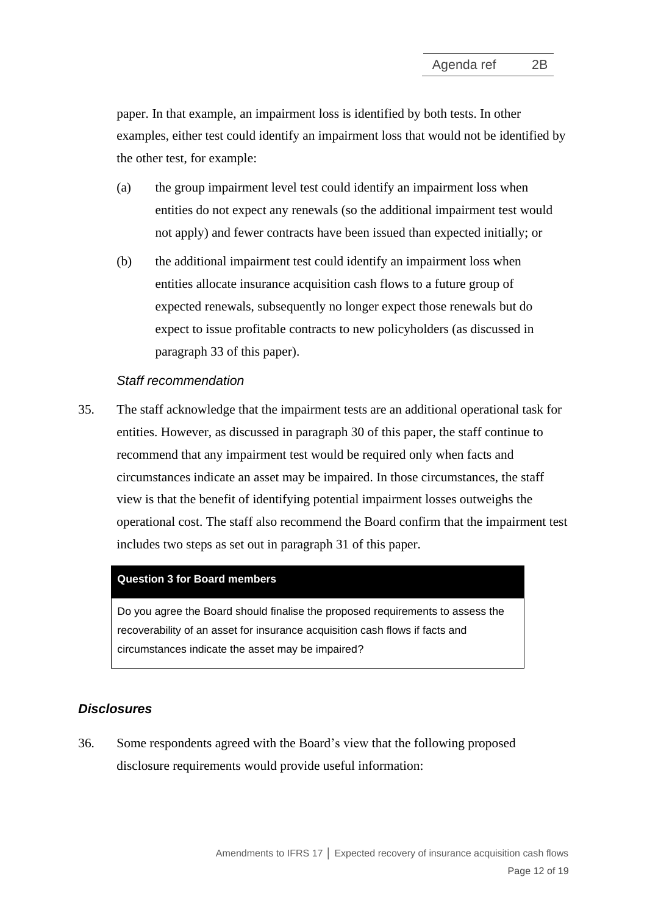paper. In that example, an impairment loss is identified by both tests. In other examples, either test could identify an impairment loss that would not be identified by the other test, for example:

- (a) the group impairment level test could identify an impairment loss when entities do not expect any renewals (so the additional impairment test would not apply) and fewer contracts have been issued than expected initially; or
- (b) the additional impairment test could identify an impairment loss when entities allocate insurance acquisition cash flows to a future group of expected renewals, subsequently no longer expect those renewals but do expect to issue profitable contracts to new policyholders (as discussed in paragraph [33](#page-10-0) of this paper).

### *Staff recommendation*

35. The staff acknowledge that the impairment tests are an additional operational task for entities. However, as discussed in paragraph [30](#page-9-1) of this paper, the staff continue to recommend that any impairment test would be required only when facts and circumstances indicate an asset may be impaired. In those circumstances, the staff view is that the benefit of identifying potential impairment losses outweighs the operational cost. The staff also recommend the Board confirm that the impairment test includes two steps as set out in paragraph [31](#page-10-1) of this paper.

#### **Question 3 for Board members**

Do you agree the Board should finalise the proposed requirements to assess the recoverability of an asset for insurance acquisition cash flows if facts and circumstances indicate the asset may be impaired?

#### *Disclosures*

36. Some respondents agreed with the Board's view that the following proposed disclosure requirements would provide useful information: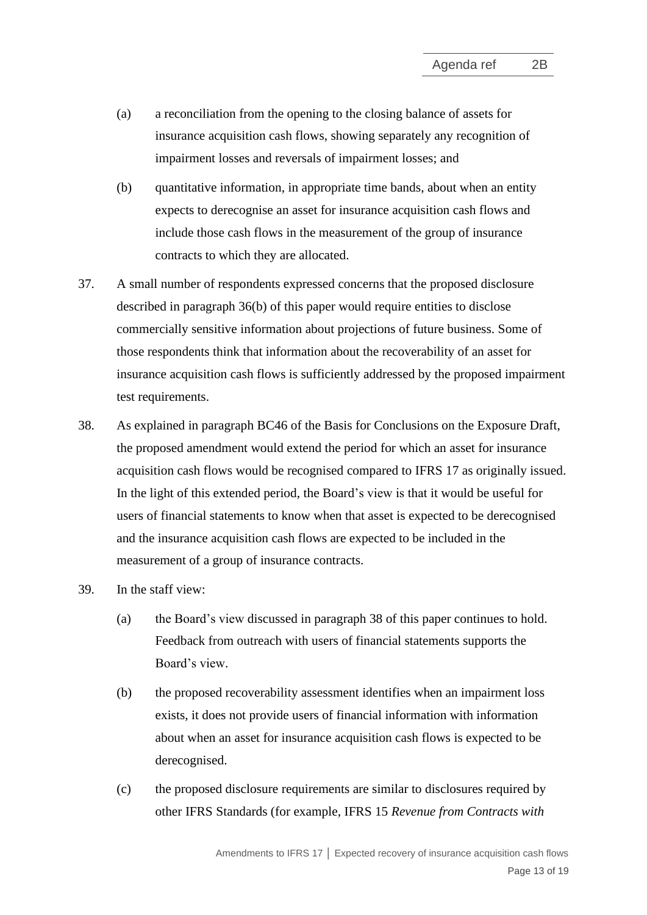- (a) a reconciliation from the opening to the closing balance of assets for insurance acquisition cash flows, showing separately any recognition of impairment losses and reversals of impairment losses; and
- <span id="page-12-0"></span>(b) quantitative information, in appropriate time bands, about when an entity expects to derecognise an asset for insurance acquisition cash flows and include those cash flows in the measurement of the group of insurance contracts to which they are allocated.
- 37. A small number of respondents expressed concerns that the proposed disclosure described in paragraph [36\(b\)](#page-12-0) of this paper would require entities to disclose commercially sensitive information about projections of future business. Some of those respondents think that information about the recoverability of an asset for insurance acquisition cash flows is sufficiently addressed by the proposed impairment test requirements.
- 38. As explained in paragraph BC46 of the Basis for Conclusions on the Exposure Draft, the proposed amendment would extend the period for which an asset for insurance acquisition cash flows would be recognised compared to IFRS 17 as originally issued. In the light of this extended period, the Board's view is that it would be useful for users of financial statements to know when that asset is expected to be derecognised and the insurance acquisition cash flows are expected to be included in the measurement of a group of insurance contracts.
- <span id="page-12-1"></span>39. In the staff view:
	- (a) the Board's view discussed in paragraph [38](#page-12-1) of this paper continues to hold. Feedback from outreach with users of financial statements supports the Board's view.
	- (b) the proposed recoverability assessment identifies when an impairment loss exists, it does not provide users of financial information with information about when an asset for insurance acquisition cash flows is expected to be derecognised.
	- (c) the proposed disclosure requirements are similar to disclosures required by other IFRS Standards (for example, IFRS 15 *Revenue from Contracts with*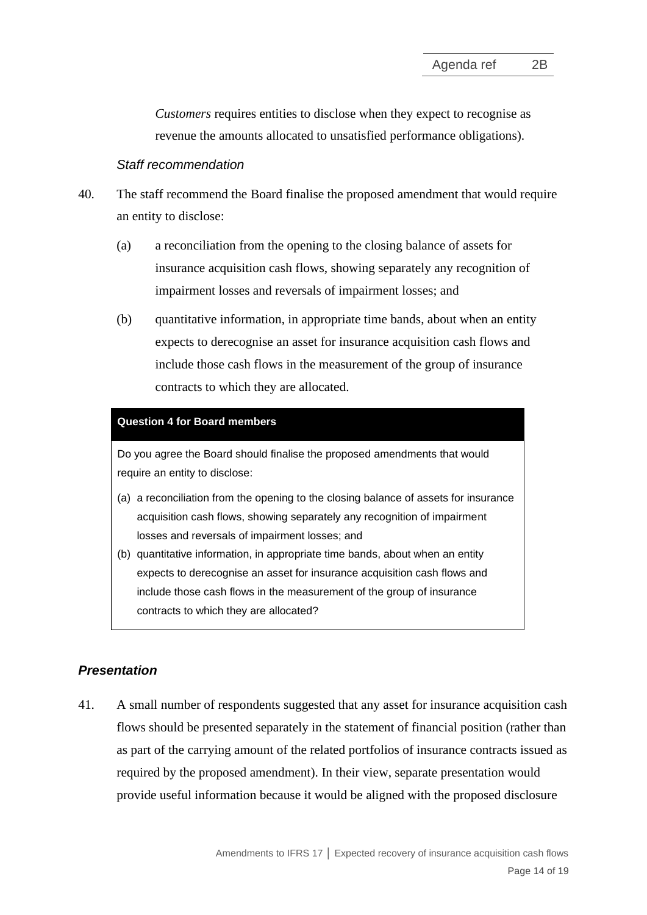*Customers* requires entities to disclose when they expect to recognise as revenue the amounts allocated to unsatisfied performance obligations).

### *Staff recommendation*

- 40. The staff recommend the Board finalise the proposed amendment that would require an entity to disclose:
	- (a) a reconciliation from the opening to the closing balance of assets for insurance acquisition cash flows, showing separately any recognition of impairment losses and reversals of impairment losses; and
	- (b) quantitative information, in appropriate time bands, about when an entity expects to derecognise an asset for insurance acquisition cash flows and include those cash flows in the measurement of the group of insurance contracts to which they are allocated.

#### **Question 4 for Board members**

Do you agree the Board should finalise the proposed amendments that would require an entity to disclose:

- (a) a reconciliation from the opening to the closing balance of assets for insurance acquisition cash flows, showing separately any recognition of impairment losses and reversals of impairment losses; and
- (b) quantitative information, in appropriate time bands, about when an entity expects to derecognise an asset for insurance acquisition cash flows and include those cash flows in the measurement of the group of insurance contracts to which they are allocated?

# *Presentation*

41. A small number of respondents suggested that any asset for insurance acquisition cash flows should be presented separately in the statement of financial position (rather than as part of the carrying amount of the related portfolios of insurance contracts issued as required by the proposed amendment). In their view, separate presentation would provide useful information because it would be aligned with the proposed disclosure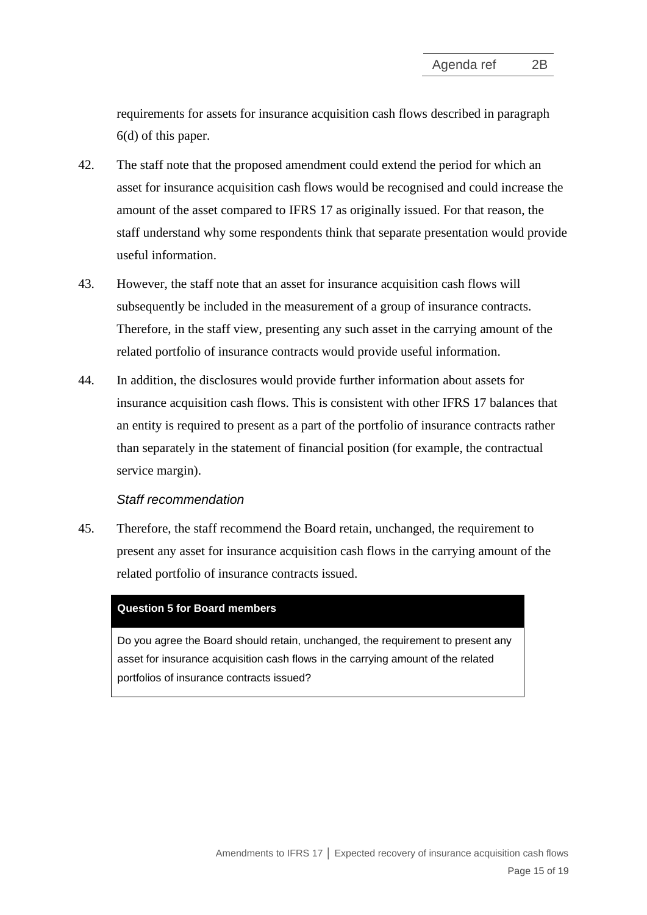requirements for assets for insurance acquisition cash flows described in paragraph [6\(d\)](#page-2-1) of this paper.

- 42. The staff note that the proposed amendment could extend the period for which an asset for insurance acquisition cash flows would be recognised and could increase the amount of the asset compared to IFRS 17 as originally issued. For that reason, the staff understand why some respondents think that separate presentation would provide useful information.
- 43. However, the staff note that an asset for insurance acquisition cash flows will subsequently be included in the measurement of a group of insurance contracts. Therefore, in the staff view, presenting any such asset in the carrying amount of the related portfolio of insurance contracts would provide useful information.
- 44. In addition, the disclosures would provide further information about assets for insurance acquisition cash flows. This is consistent with other IFRS 17 balances that an entity is required to present as a part of the portfolio of insurance contracts rather than separately in the statement of financial position (for example, the contractual service margin).

#### *Staff recommendation*

45. Therefore, the staff recommend the Board retain, unchanged, the requirement to present any asset for insurance acquisition cash flows in the carrying amount of the related portfolio of insurance contracts issued.

#### **Question 5 for Board members**

Do you agree the Board should retain, unchanged, the requirement to present any asset for insurance acquisition cash flows in the carrying amount of the related portfolios of insurance contracts issued?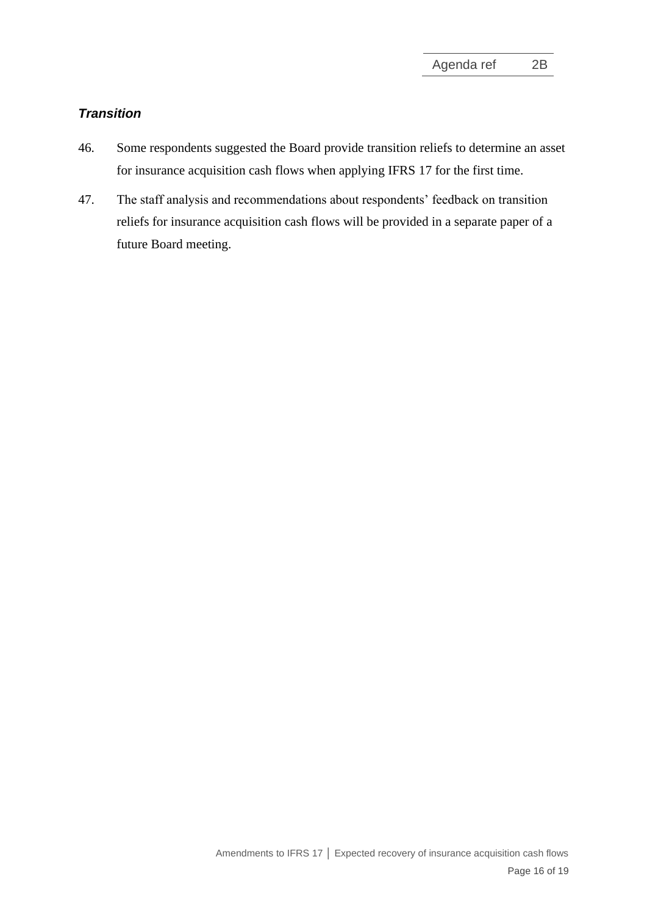# *Transition*

- 46. Some respondents suggested the Board provide transition reliefs to determine an asset for insurance acquisition cash flows when applying IFRS 17 for the first time.
- 47. The staff analysis and recommendations about respondents' feedback on transition reliefs for insurance acquisition cash flows will be provided in a separate paper of a future Board meeting.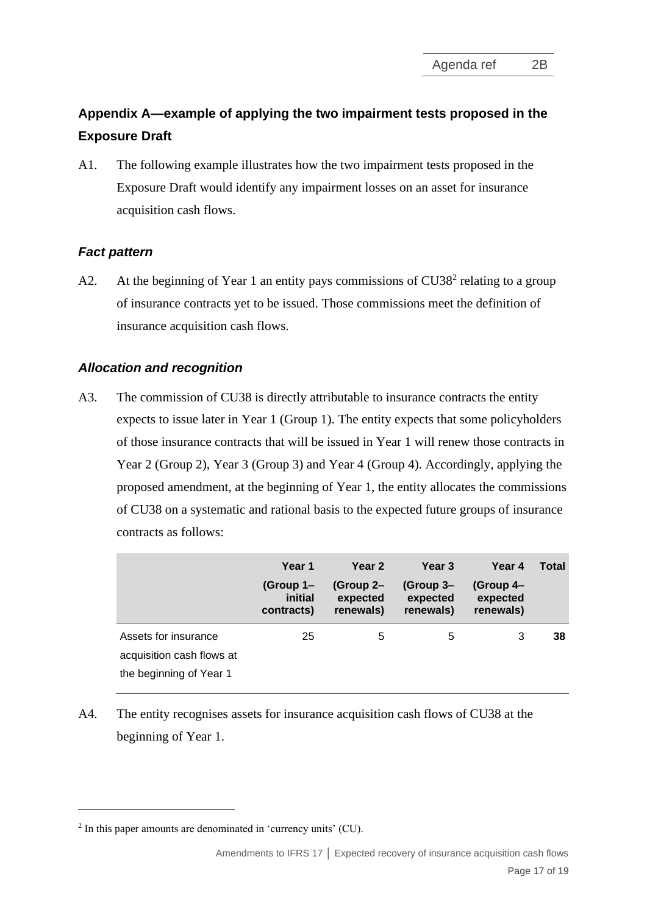# **Appendix A—example of applying the two impairment tests proposed in the Exposure Draft**

A1. The following example illustrates how the two impairment tests proposed in the Exposure Draft would identify any impairment losses on an asset for insurance acquisition cash flows.

# *Fact pattern*

A2. At the beginning of Year 1 an entity pays commissions of CU38<sup>2</sup> relating to a group of insurance contracts yet to be issued. Those commissions meet the definition of insurance acquisition cash flows.

# *Allocation and recognition*

A3. The commission of CU38 is directly attributable to insurance contracts the entity expects to issue later in Year 1 (Group 1). The entity expects that some policyholders of those insurance contracts that will be issued in Year 1 will renew those contracts in Year 2 (Group 2), Year 3 (Group 3) and Year 4 (Group 4). Accordingly, applying the proposed amendment, at the beginning of Year 1, the entity allocates the commissions of CU38 on a systematic and rational basis to the expected future groups of insurance contracts as follows:

|                                                                              | Year 1                             | Year 2                             | Year 3                             | Year 4                             | Total |
|------------------------------------------------------------------------------|------------------------------------|------------------------------------|------------------------------------|------------------------------------|-------|
|                                                                              | (Group 1–<br>initial<br>contracts) | (Group 2–<br>expected<br>renewals) | (Group 3–<br>expected<br>renewals) | (Group 4-<br>expected<br>renewals) |       |
| Assets for insurance<br>acquisition cash flows at<br>the beginning of Year 1 | 25                                 | 5                                  | 5                                  | 3                                  | 38    |

A4. The entity recognises assets for insurance acquisition cash flows of CU38 at the beginning of Year 1.

<sup>&</sup>lt;sup>2</sup> In this paper amounts are denominated in 'currency units' (CU).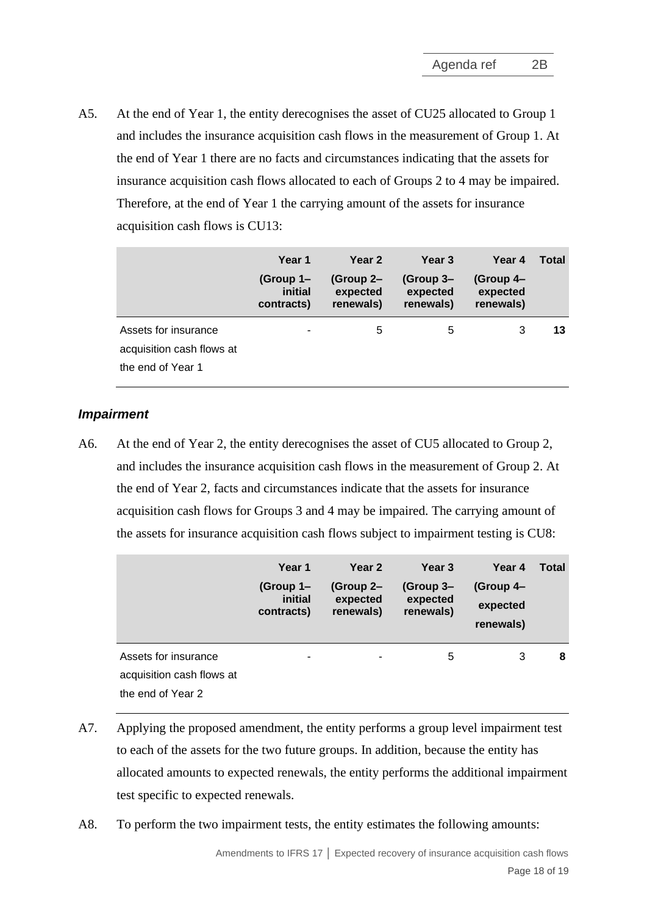A5. At the end of Year 1, the entity derecognises the asset of CU25 allocated to Group 1 and includes the insurance acquisition cash flows in the measurement of Group 1. At the end of Year 1 there are no facts and circumstances indicating that the assets for insurance acquisition cash flows allocated to each of Groups 2 to 4 may be impaired. Therefore, at the end of Year 1 the carrying amount of the assets for insurance acquisition cash flows is CU13:

|                                                   | Year 1                             | Year 2                             | Year 3                             | Year 4                             | Total |
|---------------------------------------------------|------------------------------------|------------------------------------|------------------------------------|------------------------------------|-------|
|                                                   | (Group 1-<br>initial<br>contracts) | (Group 2–<br>expected<br>renewals) | (Group 3-<br>expected<br>renewals) | (Group 4-<br>expected<br>renewals) |       |
| Assets for insurance<br>acquisition cash flows at |                                    | 5                                  | 5                                  | 3                                  | 13    |
| the end of Year 1                                 |                                    |                                    |                                    |                                    |       |

#### *Impairment*

A6. At the end of Year 2, the entity derecognises the asset of CU5 allocated to Group 2, and includes the insurance acquisition cash flows in the measurement of Group 2. At the end of Year 2, facts and circumstances indicate that the assets for insurance acquisition cash flows for Groups 3 and 4 may be impaired. The carrying amount of the assets for insurance acquisition cash flows subject to impairment testing is CU8:

|                                                | Year 1<br>(Group 1-<br>initial<br>contracts) | Year 2<br>(Group 2-<br>expected<br>renewals) | Year 3<br>(Group 3-<br>expected<br>renewals) | Year 4<br>(Group 4-<br>expected<br>renewals) | <b>Total</b> |
|------------------------------------------------|----------------------------------------------|----------------------------------------------|----------------------------------------------|----------------------------------------------|--------------|
| Assets for insurance                           | ۰                                            | ٠                                            | 5                                            | 3                                            | 8            |
| acquisition cash flows at<br>the end of Year 2 |                                              |                                              |                                              |                                              |              |

- A7. Applying the proposed amendment, the entity performs a group level impairment test to each of the assets for the two future groups. In addition, because the entity has allocated amounts to expected renewals, the entity performs the additional impairment test specific to expected renewals.
- A8. To perform the two impairment tests, the entity estimates the following amounts: